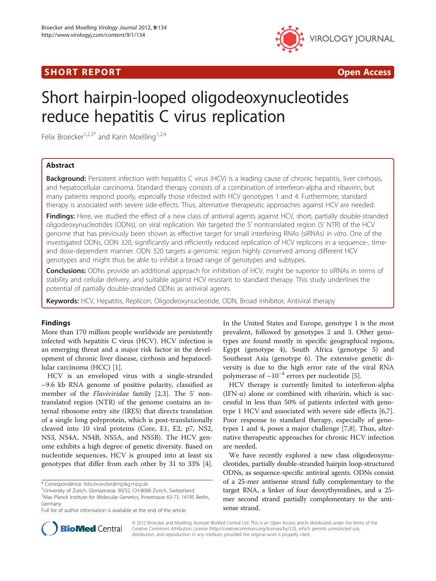# **SHORT REPORT CONSUMING THE SHORT CONSUMING THE SHORT CONSUMING THE SHORT CONSUMING THE SHORT CONSUMING THE SHO**



# Short hairpin-looped oligodeoxynucleotides reduce hepatitis C virus replication

Felix Broecker<sup>1,2,3\*</sup> and Karin Moelling<sup>1,2,4</sup>

# Abstract

Background: Persistent infection with hepatitis C virus (HCV) is a leading cause of chronic hepatitis, liver cirrhosis, and hepatocellular carcinoma. Standard therapy consists of a combination of interferon-alpha and ribavirin, but many patients respond poorly, especially those infected with HCV genotypes 1 and 4. Furthermore, standard therapy is associated with severe side-effects. Thus, alternative therapeutic approaches against HCV are needed.

**Findings:** Here, we studied the effect of a new class of antiviral agents against HCV, short, partially double-stranded oligodeoxynucleotides (ODNs), on viral replication. We targeted the 5' nontranslated region (5' NTR) of the HCV genome that has previously been shown as effective target for small interfering RNAs (siRNAs) in vitro. One of the investigated ODNs, ODN 320, significantly and efficiently reduced replication of HCV replicons in a sequence-, timeand dose-dependent manner. ODN 320 targets a genomic region highly conserved among different HCV genotypes and might thus be able to inhibit a broad range of genotypes and subtypes.

Conclusions: ODNs provide an additional approach for inhibition of HCV, might be superior to siRNAs in terms of stability and cellular delivery, and suitable against HCV resistant to standard therapy. This study underlines the potential of partially double-stranded ODNs as antiviral agents.

Keywords: HCV, Hepatitis, Replicon, Oligodeoxynucleotide, ODN, Broad inhibitor, Antiviral therapy

# Findings

More than 170 million people worldwide are persistently infected with hepatitis C virus (HCV). HCV infection is an emerging threat and a major risk factor in the development of chronic liver disease, cirrhosis and hepatocellular carcinoma (HCC) [\[1\]](#page-4-0).

HCV is an enveloped virus with a single-stranded  $\sim$ 9.6 kb RNA genome of positive polarity, classified as member of the *Flaviviridae* family [[2,3\]](#page-4-0). The 5' nontranslated region (NTR) of the genome contains an internal ribosome entry site (IRES) that directs translation of a single long polyprotein, which is post-translationally cleaved into 10 viral proteins (Core, E1, E2, p7, NS2, NS3, NS4A, NS4B, NS5A, and NS5B). The HCV genome exhibits a high degree of genetic diversity. Based on nucleotide sequences, HCV is grouped into at least six genotypes that differ from each other by 31 to 33% [\[4](#page-4-0)]. In the United States and Europe, genotype 1 is the most prevalent, followed by genotypes 2 and 3. Other genotypes are found mostly in specific geographical regions, Egypt (genotype 4), South Africa (genotype 5) and Southeast Asia (genotype 6). The extensive genetic diversity is due to the high error rate of the viral RNA polymerase of  $\sim 10^{-4}$  errors per nucleotide [[5\]](#page-4-0).

HCV therapy is currently limited to interferon-alpha (IFN- $\alpha$ ) alone or combined with ribavirin, which is successful in less than 50% of patients infected with genotype 1 HCV and associated with severe side effects [\[6,7](#page-4-0)]. Poor response to standard therapy, especially of genotypes 1 and 4, poses a major challenge [\[7,8](#page-4-0)]. Thus, alternative therapeutic approaches for chronic HCV infection are needed.

We have recently explored a new class oligodeoxynucleotides, partially double-stranded hairpin loop-structured ODNs, as sequence-specific antiviral agents. ODNs consist of a 25-mer antisense strand fully complementary to the target RNA, a linker of four deoxythymidines, and a 25 mer second strand partially complementary to the antisense strand.



© 2012 Broecker and Moelling; licensee BioMed Central Ltd. This is an Open Access article distributed under the terms of the Creative Commons Attribution License (<http://creativecommons.org/licenses/by/2.0>), which permits unrestricted use, distribution, and reproduction in any medium, provided the original work is properly cited.

<sup>\*</sup> Correspondence: [felix.broecker@mpikg.mpg.de](mailto:felix.broecker@mpikg.mpg.de) <sup>1</sup>

University of Zurich, Gloriastrasse 30/32, CH-8006 Zurich, Switzerland 2 Max Planck Institute for Molecular Genetics, Ihnestrasse 63-73, 14195 Berlin, Germany

Full list of author information is available at the end of the article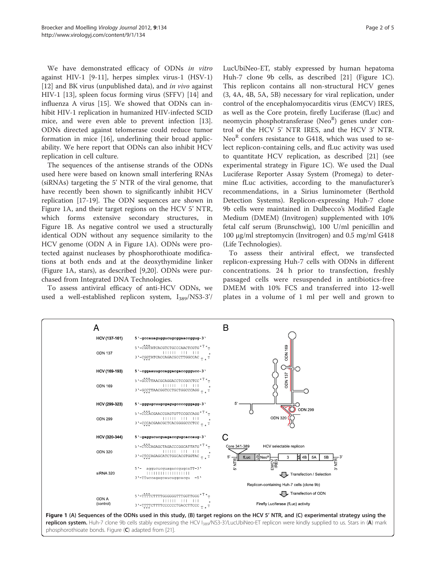<span id="page-1-0"></span>We have demonstrated efficacy of ODNs in vitro against HIV-1 [[9-11](#page-4-0)], herpes simplex virus-1 (HSV-1) [[12\]](#page-4-0) and BK virus (unpublished data), and in vivo against HIV-1 [\[13](#page-4-0)], spleen focus forming virus (SFFV) [[14\]](#page-4-0) and influenza A virus [[15](#page-4-0)]. We showed that ODNs can inhibit HIV-1 replication in humanized HIV-infected SCID mice, and were even able to prevent infection [\[13](#page-4-0)]. ODNs directed against telomerase could reduce tumor formation in mice [[16](#page-4-0)], underlining their broad applicability. We here report that ODNs can also inhibit HCV replication in cell culture.

The sequences of the antisense strands of the ODNs used here were based on known small interfering RNAs (siRNAs) targeting the 5' NTR of the viral genome, that have recently been shown to significantly inhibit HCV replication [[17-19](#page-4-0)]. The ODN sequences are shown in Figure 1A, and their target regions on the HCV 5' NTR, which forms extensive secondary structures, in Figure 1B. As negative control we used a structurally identical ODN without any sequence similarity to the HCV genome (ODN A in Figure 1A). ODNs were protected against nucleases by phosphorothioate modifications at both ends and at the deoxythymidine linker (Figure 1A, stars), as described [[9,20\]](#page-4-0). ODNs were purchased from Integrated DNA Technologies.

To assess antiviral efficacy of anti-HCV ODNs, we used a well-established replicon system,  $I_{389}/NS3-3'$  LucUbiNeo-ET, stably expressed by human hepatoma Huh-7 clone 9b cells, as described [\[21\]](#page-4-0) (Figure 1C). This replicon contains all non-structural HCV genes (3, 4A, 4B, 5A, 5B) necessary for viral replication, under control of the encephalomyocarditis virus (EMCV) IRES, as well as the Core protein, firefly Luciferase (fLuc) and neomycin phosphotransferase (Neo<sup>R</sup>) genes under control of the HCV 5' NTR IRES, and the HCV 3' NTR. Neo<sup>R</sup> confers resistance to G418, which was used to select replicon-containing cells, and fLuc activity was used to quantitate HCV replication, as described [\[21](#page-4-0)] (see experimental strategy in Figure 1C). We used the Dual Luciferase Reporter Assay System (Promega) to determine fLuc activities, according to the manufacturer's recommendations, in a Sirius luminometer (Berthold Detection Systems). Replicon-expressing Huh-7 clone 9b cells were maintained in Dulbecco's Modified Eagle Medium (DMEM) (Invitrogen) supplemented with 10% fetal calf serum (Brunschwig), 100 U/ml penicillin and 100 μg/ml streptomycin (Invitrogen) and 0.5 mg/ml G418 (Life Technologies).

To assess their antiviral effect, we transfected replicon-expressing Huh-7 cells with ODNs in different concentrations. 24 h prior to transfection, freshly passaged cells were resuspended in antibiotics-free DMEM with 10% FCS and transferred into 12-well plates in a volume of 1 ml per well and grown to

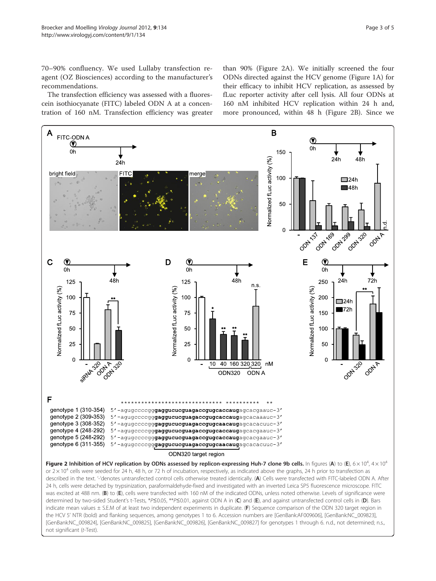<span id="page-2-0"></span>70–90% confluency. We used Lullaby transfection reagent (OZ Biosciences) according to the manufacturer's recommendations.

The transfection efficiency was assessed with a fluorescein isothiocyanate (FITC) labeled ODN A at a concentration of 160 nM. Transfection efficiency was greater than 90% (Figure 2A). We initially screened the four ODNs directed against the HCV genome (Figure [1A\)](#page-1-0) for their efficacy to inhibit HCV replication, as assessed by fLuc reporter activity after cell lysis. All four ODNs at 160 nM inhibited HCV replication within 24 h and, more pronounced, within 48 h (Figure 2B). Since we



indicate mean values ± S.E.M of at least two independent experiments in duplicate. (F) Sequence comparison of the ODN 320 target region in the HCV 5' NTR (bold) and flanking sequences, among genotypes 1 to 6. Accession numbers are [GenBank:AF009606], [GenBank:NC\_009823], [GenBank:NC\_009824], [GenBank:NC\_009825], [GenBank:NC\_009826], [GenBank:NC\_009827] for genotypes 1 through 6. n.d., not determined; n.s., not significant (t-Test).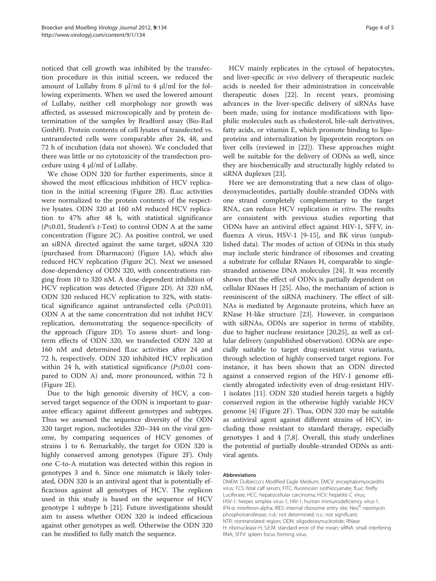noticed that cell growth was inhibited by the transfection procedure in this initial screen, we reduced the amount of Lullaby from 8 μl/ml to 4 μl/ml for the following experiments. When we used the lowered amount of Lullaby, neither cell morphology nor growth was affected, as assessed microscopically and by protein determination of the samples by Bradford assay (Bio-Rad GmbH). Protein contents of cell lysates of transfected vs. untransfected cells were comparable after 24, 48, and 72 h of incubation (data not shown). We concluded that there was little or no cytotoxicity of the transfection procedure using 4 μl/ml of Lullaby.

We chose ODN 320 for further experiments, since it showed the most efficacious inhibition of HCV replication in the initial screening (Figure [2B\)](#page-2-0). fLuc activities were normalized to the protein contents of the respective lysates. ODN 320 at 160 nM reduced HCV replication to 47% after 48 h, with statistical significance  $(P \le 0.01$ , Student's *t*-Test) to control ODN A at the same concentration (Figure [2C\)](#page-2-0). As positive control, we used an siRNA directed against the same target, siRNA 320 (purchased from Dharmacon) (Figure [1A](#page-1-0)), which also reduced HCV replication (Figure [2C](#page-2-0)). Next we assessed dose-dependency of ODN 320, with concentrations ranging from 10 to 320 nM. A dose-dependent inhibition of HCV replication was detected (Figure [2D\)](#page-2-0). At 320 nM, ODN 320 reduced HCV replication to 32%, with statistical significance against untransfected cells (P≤0.01). ODN A at the same concentration did not inhibit HCV replication, demonstrating the sequence-specificity of the approach (Figure [2D](#page-2-0)). To assess short- and longterm effects of ODN 320, we transfected ODN 320 at 160 nM and determined fLuc activities after 24 and 72 h, respectively. ODN 320 inhibited HCV replication within 24 h, with statistical significance (P≤0.01 compared to ODN A) and, more pronounced, within 72 h (Figure [2E\)](#page-2-0).

Due to the high genomic diversity of HCV, a conserved target sequence of the ODN is important to guarantee efficacy against different genotypes and subtypes. Thus we assessed the sequence diversity of the ODN 320 target region, nucleotides 320–344 on the viral genome, by comparing sequences of HCV genomes of strains 1 to 6. Remarkably, the target for ODN 320 is highly conserved among genotypes (Figure [2F](#page-2-0)). Only one C-to-A mutation was detected within this region in genotypes 3 and 6. Since one mismatch is likely tolerated, ODN 320 is an antiviral agent that is potentially efficacious against all genotypes of HCV. The replicon used in this study is based on the sequence of HCV genotype 1 subtype b [[21\]](#page-4-0). Future investigations should aim to assess whether ODN 320 is indeed efficacious against other genotypes as well. Otherwise the ODN 320 can be modified to fully match the sequence.

HCV mainly replicates in the cytosol of hepatocytes, and liver-specific in vivo delivery of therapeutic nucleic acids is needed for their administration in conceivable therapeutic doses [\[22](#page-4-0)]. In recent years, promising advances in the liver-specific delivery of siRNAs have been made, using for instance modifications with lipophilic molecules such as cholesterol, bile-salt derivatives, fatty acids, or vitamin E, which promote binding to lipoproteins and internalization by lipoprotein receptors on liver cells (reviewed in [[22\]](#page-4-0)). These approaches might well be suitable for the delivery of ODNs as well, since they are biochemically and structurally highly related to siRNA duplexes [\[23](#page-4-0)].

Here we are demonstrating that a new class of oligodeoxynucleotides, partially double-stranded ODNs with one strand completely complementary to the target RNA, can reduce HCV replication in vitro. The results are consistent with previous studies reporting that ODNs have an antiviral effect against HIV-1, SFFV, influenza A virus, HSV-1 [\[9](#page-4-0)-[15\]](#page-4-0), and BK virus (unpublished data). The modes of action of ODNs in this study may include steric hindrance of ribosomes and creating a substrate for cellular RNases H, comparable to singlestranded antisense DNA molecules [[24\]](#page-4-0). It was recently shown that the effect of ODNs is partially dependent on cellular RNases H [[25\]](#page-4-0). Also, the mechanism of action is reminiscent of the siRNA machinery. The effect of siR-NAs is mediated by Argonaute proteins, which have an RNase H-like structure [\[23\]](#page-4-0). However, in comparison with siRNAs, ODNs are superior in terms of stability, due to higher nuclease resistance [[20,25](#page-4-0)], as well as cellular delivery (unpublished observation). ODNs are especially suitable to target drug-resistant virus variants, through selection of highly conserved target regions. For instance, it has been shown that an ODN directed against a conserved region of the HIV-1 genome efficiently abrogated infectivity even of drug-resistant HIV-1 isolates [[11](#page-4-0)]. ODN 320 studied herein targets a highly conserved region in the otherwise highly variable HCV genome [\[4](#page-4-0)] (Figure [2F](#page-2-0)). Thus, ODN 320 may be suitable as antiviral agent against different strains of HCV, including those resistant to standard therapy, especially genotypes 1 and 4 [[7,8\]](#page-4-0). Overall, this study underlines the potential of partially double-stranded ODNs as antiviral agents.

#### Abbreviations

DMEM: Dulbecco's Modified Eagle Medium; EMCV: encephalomyocarditis virus; FCS: fetal calf serum; FITC: fluorescein isothiocyanate; fLuc: firefly Luciferase; HCC: hepatocellular carcinoma; HCV: hepatitis C virus; HSV-1: herpes simplex virus-1; HIV-1: human immunodeficiency virus-1; IFN-α: interferon-alpha; IRES: internal ribosome entry site; Neo<sup>R</sup>: neomycin phosphotransferase; n.d.: not determined; n.s.: not significant; NTR: nontranslated region; ODN: oligodeoxynucleotide; RNase H: ribonuclease H; S.E.M: standard error of the mean; siRNA: small interfering RNA; SFFV: spleen focus forming virus.